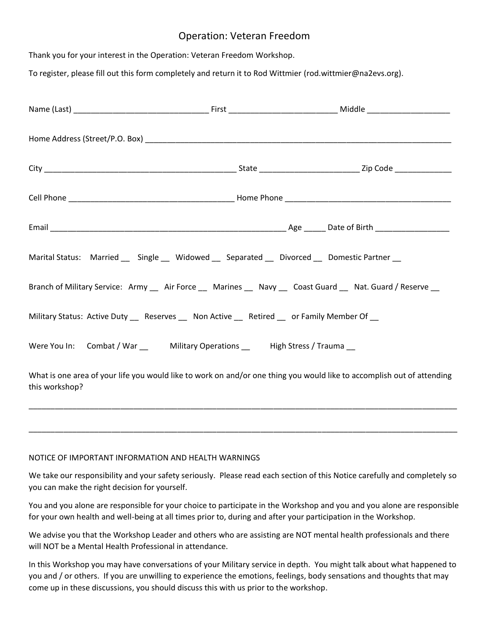# Operation: Veteran Freedom

Thank you for your interest in the Operation: Veteran Freedom Workshop.

To register, please fill out this form completely and return it to Rod Wittmier (rod.wittmier@na2evs.org).

|                | Marital Status: Married __ Single __ Widowed __ Separated __ Divorced __ Domestic Partner __ |                                                                                                                        |
|----------------|----------------------------------------------------------------------------------------------|------------------------------------------------------------------------------------------------------------------------|
|                |                                                                                              | Branch of Military Service: Army __ Air Force __ Marines __ Navy __ Coast Guard __ Nat. Guard / Reserve __             |
|                | Military Status: Active Duty __ Reserves __ Non Active __ Retired __ or Family Member Of __  |                                                                                                                        |
|                | Were You In: Combat / War __ Military Operations __ High Stress / Trauma __                  |                                                                                                                        |
| this workshop? |                                                                                              | What is one area of your life you would like to work on and/or one thing you would like to accomplish out of attending |

### NOTICE OF IMPORTANT INFORMATION AND HEALTH WARNINGS

We take our responsibility and your safety seriously. Please read each section of this Notice carefully and completely so you can make the right decision for yourself.

\_\_\_\_\_\_\_\_\_\_\_\_\_\_\_\_\_\_\_\_\_\_\_\_\_\_\_\_\_\_\_\_\_\_\_\_\_\_\_\_\_\_\_\_\_\_\_\_\_\_\_\_\_\_\_\_\_\_\_\_\_\_\_\_\_\_\_\_\_\_\_\_\_\_\_\_\_\_\_\_\_\_\_\_\_\_\_\_\_\_\_\_\_\_\_\_\_\_

\_\_\_\_\_\_\_\_\_\_\_\_\_\_\_\_\_\_\_\_\_\_\_\_\_\_\_\_\_\_\_\_\_\_\_\_\_\_\_\_\_\_\_\_\_\_\_\_\_\_\_\_\_\_\_\_\_\_\_\_\_\_\_\_\_\_\_\_\_\_\_\_\_\_\_\_\_\_\_\_\_\_\_\_\_\_\_\_\_\_\_\_\_\_\_\_\_\_

You and you alone are responsible for your choice to participate in the Workshop and you and you alone are responsible for your own health and well-being at all times prior to, during and after your participation in the Workshop.

We advise you that the Workshop Leader and others who are assisting are NOT mental health professionals and there will NOT be a Mental Health Professional in attendance.

In this Workshop you may have conversations of your Military service in depth. You might talk about what happened to you and / or others. If you are unwilling to experience the emotions, feelings, body sensations and thoughts that may come up in these discussions, you should discuss this with us prior to the workshop.